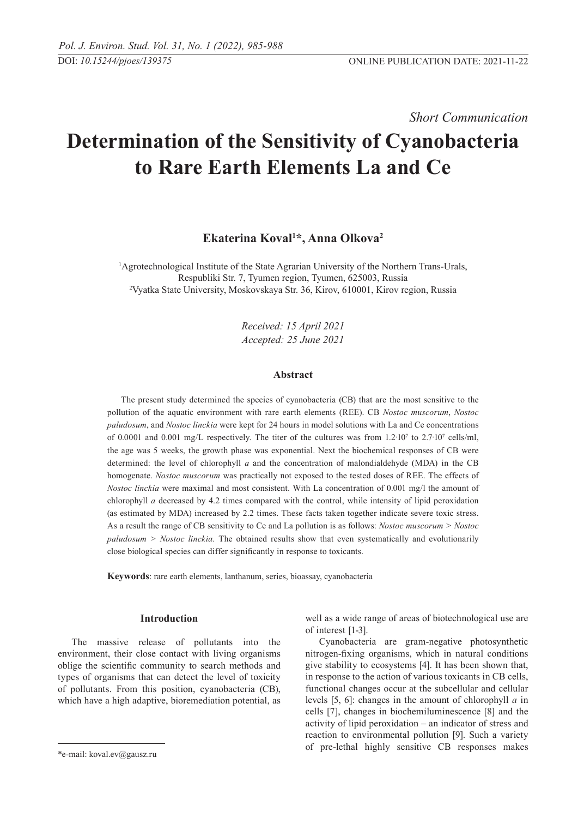*Short Communication* 

# **Determination of the Sensitivity of Cyanobacteria to Rare Earth Elements La and Ce**

# **Ekaterina Koval1 \*, Anna Olkova2**

<sup>1</sup>Agrotechnological Institute of the State Agrarian University of the Northern Trans-Urals, Respubliki Str. 7, Tyumen region, Tyumen, 625003, Russia 2 Vyatka State University, Moskovskaya Str. 36, Kirov, 610001, Kirov region, Russia

> *Received: 15 April 2021 Accepted: 25 June 2021*

# **Abstract**

The present study determined the species of cyanobacteria (CB) that are the most sensitive to the pollution of the aquatic environment with rare earth elements (REE). CB *Nostoc muscorum*, *Nostoc paludosum*, and *Nostoc linckia* were kept for 24 hours in model solutions with La and Ce concentrations of 0.0001 and 0.001 mg/L respectively. The titer of the cultures was from  $1.2 \cdot 10^7$  to  $2.7 \cdot 10^7$  cells/ml, the age was 5 weeks, the growth phase was exponential. Next the biochemical responses of CB were determined: the level of chlorophyll *а* and the concentration of malondialdehyde (MDA) in the CB homogenate. *Nostoc muscorum* was practically not exposed to the tested doses of REE. The effects of *Nostoc linckia* were maximal and most consistent. With La concentration of 0.001 mg/l the amount of chlorophyll *а* decreased by 4.2 times compared with the control, while intensity of lipid peroxidation (as estimated by MDA) increased by 2.2 times. These facts taken together indicate severe toxic stress. As a result the range of CB sensitivity to Ce and La pollution is as follows: *Nostoc muscorum > Nostoc paludosum > Nostoc linckia*. The obtained results show that even systematically and evolutionarily close biological species can differ significantly in response to toxicants.

**Keywords**: rare earth elements, lanthanum, series, bioassay, cyanobacteria

#### **Introduction**

The massive release of pollutants into the environment, their close contact with living organisms oblige the scientific community to search methods and types of organisms that can detect the level of toxicity of pollutants. From this position, cyanobacteria (CB), which have a high adaptive, bioremediation potential, as well as a wide range of areas of biotechnological use are of interest [1-3].

Cyanobacteria are gram-negative photosynthetic nitrogen-fixing organisms, which in natural conditions give stability to ecosystems [4]. It has been shown that, in response to the action of various toxicants in CB cells, functional changes occur at the subcellular and cellular levels [5, 6]: changes in the amount of chlorophyll *а* in cells [7], changes in biochemiluminescence [8] and the activity of lipid peroxidation – an indicator of stress and reaction to environmental pollution [9]. Such a variety of pre-lethal highly sensitive CB responses makes

<sup>\*</sup>e-mail: koval.ev@gausz.ru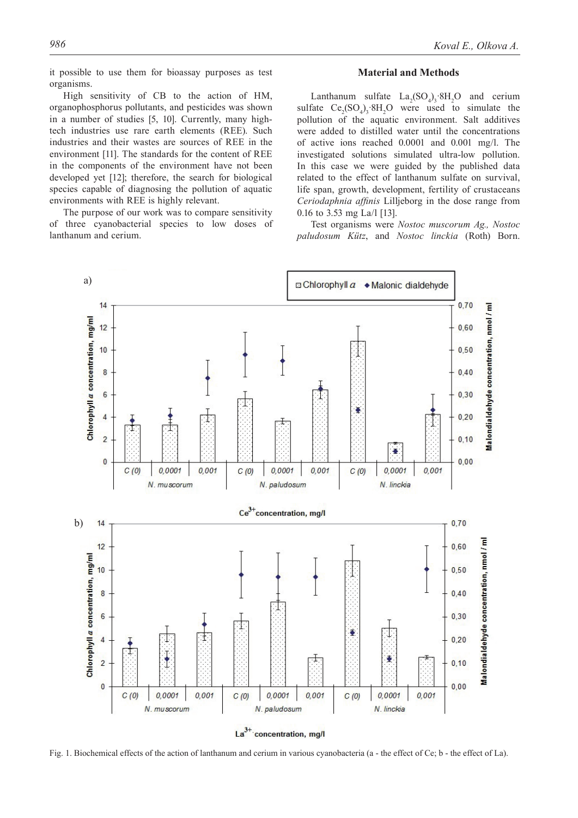it possible to use them for bioassay purposes as test organisms.

High sensitivity of CB to the action of HM, organophosphorus pollutants, and pesticides was shown in a number of studies [5, 10]. Currently, many hightech industries use rare earth elements (REE). Such industries and their wastes are sources of REE in the environment [11]. The standards for the content of REE in the components of the environment have not been developed yet [12]; therefore, the search for biological species capable of diagnosing the pollution of aquatic environments with REE is highly relevant.

The purpose of our work was to compare sensitivity of three cyanobacterial species to low doses of lanthanum and cerium.

## **Material and Methods**

Lanthanum sulfate  $La_2(SO_4)$ ,  $8H_2O$  and cerium sulfate  $Ce_2(SO_4)$ ,  $8H_2O$  were used to simulate the pollution of the aquatic environment. Salt additives were added to distilled water until the concentrations of active ions reached 0.0001 and 0.001 mg/l. The investigated solutions simulated ultra-low pollution. In this case we were guided by the published data related to the effect of lanthanum sulfate on survival, life span, growth, development, fertility of crustaceans *Ceriodaphnia affinis* Lilljeborg in the dose range from 0.16 to 3.53 mg La/l [13].

Test organisms were *Nostoc muscorum Ag., Nostoc paludosum Kütz*, and *Nostoc linckia* (Roth) Born.



Fig. 1. Biochemical effects of the action of lanthanum and cerium in various cyanobacteria (a - the effect of Ce; b - the effect of La).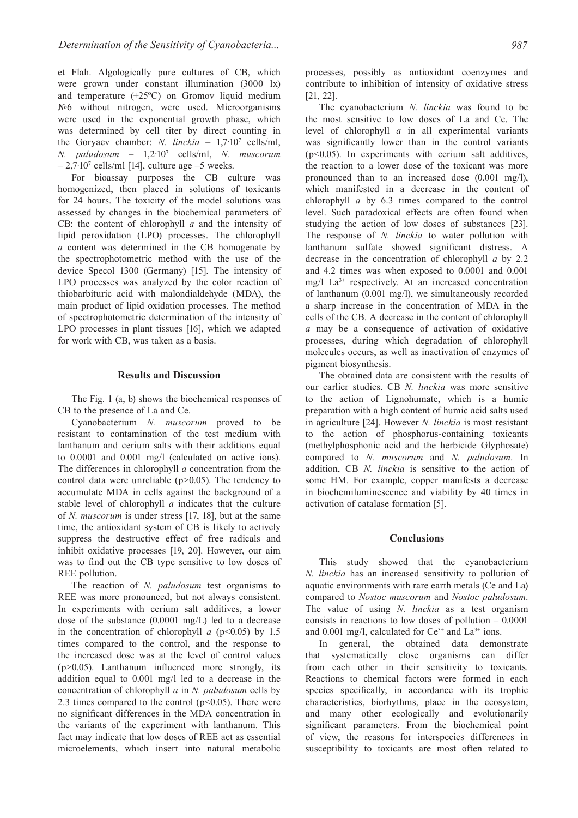et Flah. Algologically pure cultures of CB, which were grown under constant illumination (3000 lx) and temperature (+25ºC) on Gromov liquid medium №6 without nitrogen, were used. Microorganisms were used in the exponential growth phase, which was determined by cell titer by direct counting in the Goryaev chamber: *N. linckia* – 1,7·10<sup>7</sup> cells/ml, *N. paludosum* – 1,2·10<sup>7</sup> cells/ml, *N. muscorum*  $-2,7.10^7$  cells/ml [14], culture age  $-5$  weeks.

For bioassay purposes the CB culture was homogenized, then placed in solutions of toxicants for 24 hours. The toxicity of the model solutions was assessed by changes in the biochemical parameters of CB: the content of chlorophyll *а* and the intensity of lipid peroxidation (LPO) processes. The chlorophyll *а* content was determined in the CB homogenate by the spectrophotometric method with the use of the device Specol 1300 (Germany) [15]. The intensity of LPO processes was analyzed by the color reaction of thiobarbituric acid with malondialdehyde (MDA), the main product of lipid oxidation processes. The method of spectrophotometric determination of the intensity of LPO processes in plant tissues [16], which we adapted for work with CB, was taken as a basis.

#### **Results and Discussion**

The Fig. 1 (a, b) shows the biochemical responses of CB to the presence of La and Ce.

Cyanobacterium *N. muscorum* proved to be resistant to contamination of the test medium with lanthanum and cerium salts with their additions equal to 0.0001 and 0.001 mg/l (calculated on active ions). The differences in chlorophyll *а* concentration from the control data were unreliable (p>0.05). The tendency to accumulate MDA in cells against the background of a stable level of chlorophyll *а* indicates that the culture of *N. muscorum* is under stress [17, 18], but at the same time, the antioxidant system of CB is likely to actively suppress the destructive effect of free radicals and inhibit oxidative processes [19, 20]. However, our aim was to find out the CB type sensitive to low doses of REE pollution.

The reaction of *N. paludosum* test organisms to REE was more pronounced, but not always consistent. In experiments with cerium salt additives, a lower dose of the substance (0.0001 mg/L) led to a decrease in the concentration of chlorophyll  $a$  ( $p<0.05$ ) by 1.5 times compared to the control, and the response to the increased dose was at the level of control values  $(p>0.05)$ . Lanthanum influenced more strongly, its addition equal to 0.001 mg/l led to a decrease in the concentration of chlorophyll *а* in *N. paludosum* cells by 2.3 times compared to the control  $(p<0.05)$ . There were no significant differences in the MDA concentration in the variants of the experiment with lanthanum. This fact may indicate that low doses of REE act as essential microelements, which insert into natural metabolic processes, possibly as antioxidant coenzymes and contribute to inhibition of intensity of oxidative stress [21, 22].

The cyanobacterium *N. linckia* was found to be the most sensitive to low doses of La and Ce. The level of chlorophyll *а* in all experimental variants was significantly lower than in the control variants  $(p<0.05)$ . In experiments with cerium salt additives, the reaction to a lower dose of the toxicant was more pronounced than to an increased dose (0.001 mg/l), which manifested in a decrease in the content of chlorophyll *а* by 6.3 times compared to the control level. Such paradoxical effects are often found when studying the action of low doses of substances [23]. The response of *N. linckia* to water pollution with lanthanum sulfate showed significant distress. A decrease in the concentration of chlorophyll *а* by 2.2 and 4.2 times was when exposed to 0.0001 and 0.001 mg/l La3+ respectively. At an increased concentration of lanthanum (0.001 mg/l), we simultaneously recorded a sharp increase in the concentration of MDA in the cells of the CB. A decrease in the content of chlorophyll *а* may be a consequence of activation of oxidative processes, during which degradation of chlorophyll molecules occurs, as well as inactivation of enzymes of pigment biosynthesis.

The obtained data are consistent with the results of our earlier studies. CB *N. linckia* was more sensitive to the action of Lignohumate, which is a humic preparation with a high content of humic acid salts used in agriculture [24]. However *N. linckia* is most resistant to the action of phosphorus-containing toxicants (methylphosphonic acid and the herbicide Glyphosate) compared to *N. muscorum* and *N. paludosum*. In addition, CB *N. linckia* is sensitive to the action of some HM. For example, copper manifests a decrease in biochemiluminescence and viability by 40 times in activation of catalase formation [5].

## **Conclusions**

This study showed that the cyanobacterium *N. linckia* has an increased sensitivity to pollution of aquatic environments with rare earth metals (Ce and La) compared to *Nostoc muscorum* and *Nostoc paludosum*. The value of using *N. linckia* as a test organism consists in reactions to low doses of pollution – 0.0001 and 0.001 mg/l, calculated for  $Ce^{3+}$  and  $La^{3+}$  ions.

In general, the obtained data demonstrate that systematically close organisms can differ from each other in their sensitivity to toxicants. Reactions to chemical factors were formed in each species specifically, in accordance with its trophic characteristics, biorhythms, place in the ecosystem, and many other ecologically and evolutionarily significant parameters. From the biochemical point of view, the reasons for interspecies differences in susceptibility to toxicants are most often related to